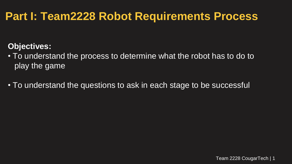### **Part I: Team2228 Robot Requirements Process**

#### **Objectives:**

• To understand the process to determine what the robot has to do to play the game

• To understand the questions to ask in each stage to be successful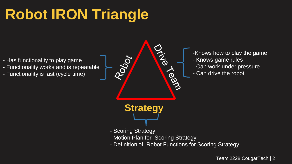# **Robot IRON Triangle**

- Has functionality to play game
- Functionality works and is repeatable
- Functionality is fast (cycle time)



- -Knows how to play the game
- Knows game rules
- Can work under pressure
- Can drive the robot

- Scoring Strategy
- Motion Plan for Scoring Strategy
- Definition of Robot Functions for Scoring Strategy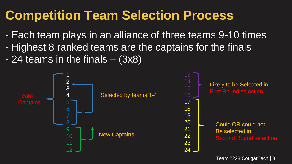# **Competition Team Selection Process**

- Each team plays in an alliance of three teams 9-10 times
- Highest 8 ranked teams are the captains for the finals
- $-$  24 teams in the finals  $-$  (3x8)

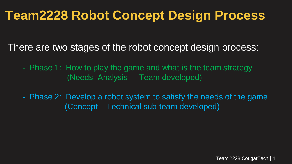# **Team2228 Robot Concept Design Process**

There are two stages of the robot concept design process:

- Phase 1: How to play the game and what is the team strategy (Needs Analysis – Team developed)
- Phase 2: Develop a robot system to satisfy the needs of the game (Concept – Technical sub-team developed)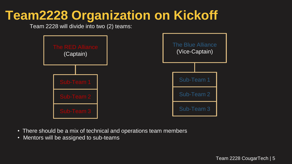## **Team2228 Organization on Kickoff**

Team 2228 will divide into two (2) teams:



- There should be a mix of technical and operations team members
- Mentors will be assigned to sub-teams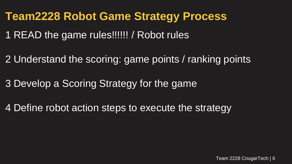#### **Team2228 Robot Game Strategy Process**

- 1 READ the game rules!!!!!! / Robot rules
- 2 Understand the scoring: game points / ranking points
- 3 Develop a Scoring Strategy for the game
- 4 Define robot action steps to execute the strategy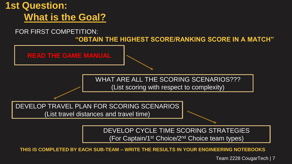

(For Captain/1st Choice/2nd Choice team types)

**THIS IS COMPLETED BY EACH SUB-TEAM – WRITE THE RESULTS IN YOUR ENGINEERING NOTEBOOKS**

Team 2228 CougarTech | 7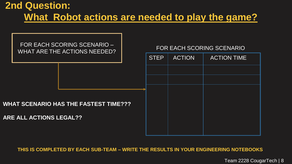### **2nd Question: What Robot actions are needed to play the game?**



**THIS IS COMPLETED BY EACH SUB-TEAM – WRITE THE RESULTS IN YOUR ENGINEERING NOTEBOOKS**

Team 2228 CougarTech | 8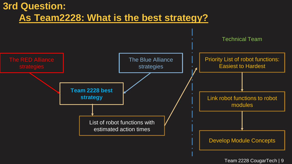#### **3rd Question: As Team2228: What is the best strategy?**



Team 2228 CougarTech | 9